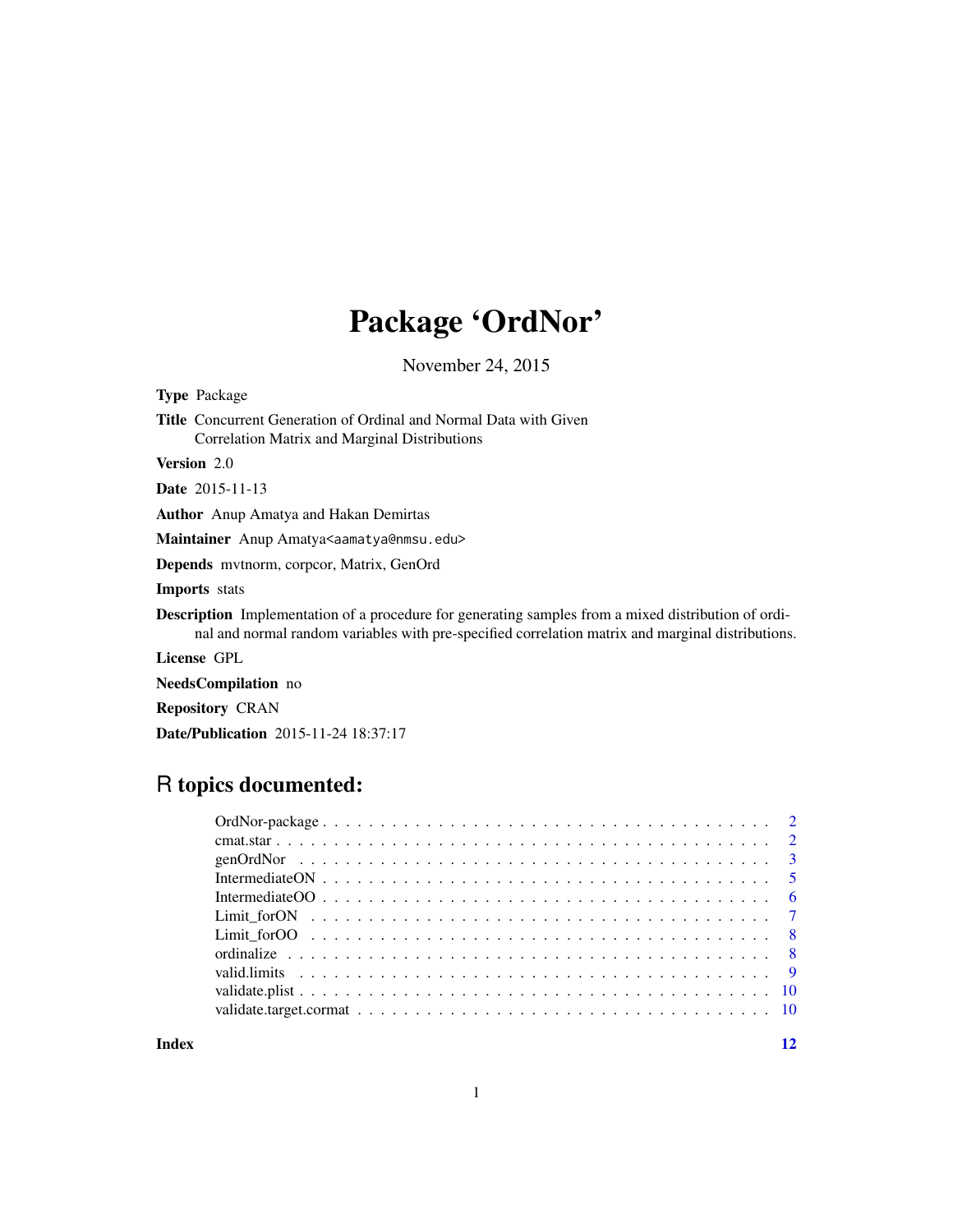## Package 'OrdNor'

November 24, 2015

Type Package Title Concurrent Generation of Ordinal and Normal Data with Given Correlation Matrix and Marginal Distributions Version 2.0 Date 2015-11-13 Author Anup Amatya and Hakan Demirtas Maintainer Anup Amatya<aamatya@nmsu.edu>

Depends mvtnorm, corpcor, Matrix, GenOrd

Imports stats

Description Implementation of a procedure for generating samples from a mixed distribution of ordinal and normal random variables with pre-specified correlation matrix and marginal distributions.

License GPL

NeedsCompilation no

Repository CRAN

Date/Publication 2015-11-24 18:37:17

## R topics documented:

**Index** [12](#page-11-0)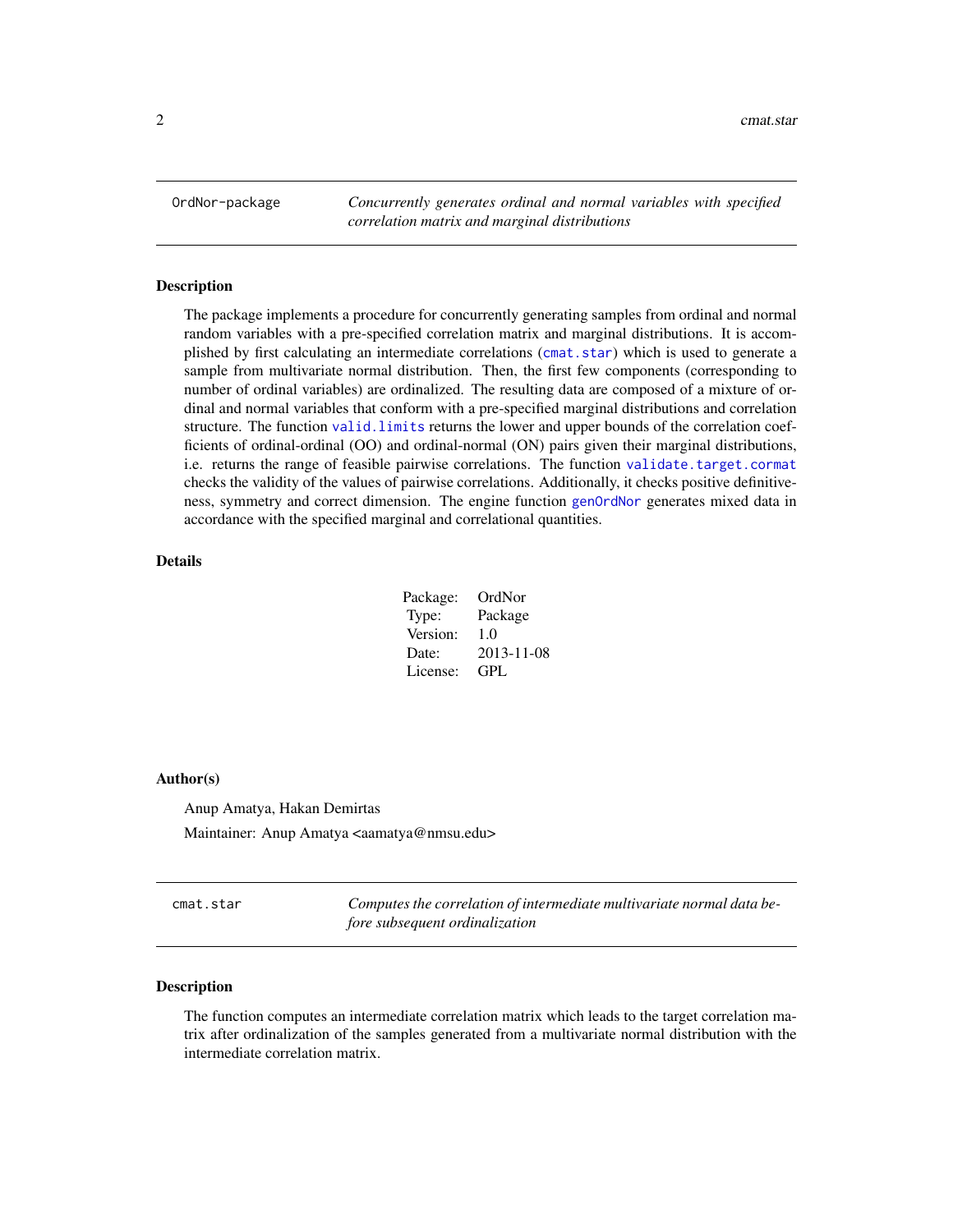<span id="page-1-0"></span>OrdNor-package *Concurrently generates ordinal and normal variables with specified correlation matrix and marginal distributions*

#### Description

The package implements a procedure for concurrently generating samples from ordinal and normal random variables with a pre-specified correlation matrix and marginal distributions. It is accomplished by first calculating an intermediate correlations ([cmat.star](#page-1-1)) which is used to generate a sample from multivariate normal distribution. Then, the first few components (corresponding to number of ordinal variables) are ordinalized. The resulting data are composed of a mixture of ordinal and normal variables that conform with a pre-specified marginal distributions and correlation structure. The function [valid.limits](#page-8-1) returns the lower and upper bounds of the correlation coefficients of ordinal-ordinal (OO) and ordinal-normal (ON) pairs given their marginal distributions, i.e. returns the range of feasible pairwise correlations. The function [validate.target.cormat](#page-9-1) checks the validity of the values of pairwise correlations. Additionally, it checks positive definitiveness, symmetry and correct dimension. The engine function [genOrdNor](#page-2-1) generates mixed data in accordance with the specified marginal and correlational quantities.

#### Details

| Package: | OrdNor     |
|----------|------------|
| Type:    | Package    |
| Version: | 1.0        |
| Date:    | 2013-11-08 |
| License: | GPL        |

#### Author(s)

Anup Amatya, Hakan Demirtas Maintainer: Anup Amatya <aamatya@nmsu.edu>

<span id="page-1-1"></span>cmat.star *Computes the correlation of intermediate multivariate normal data before subsequent ordinalization*

#### Description

The function computes an intermediate correlation matrix which leads to the target correlation matrix after ordinalization of the samples generated from a multivariate normal distribution with the intermediate correlation matrix.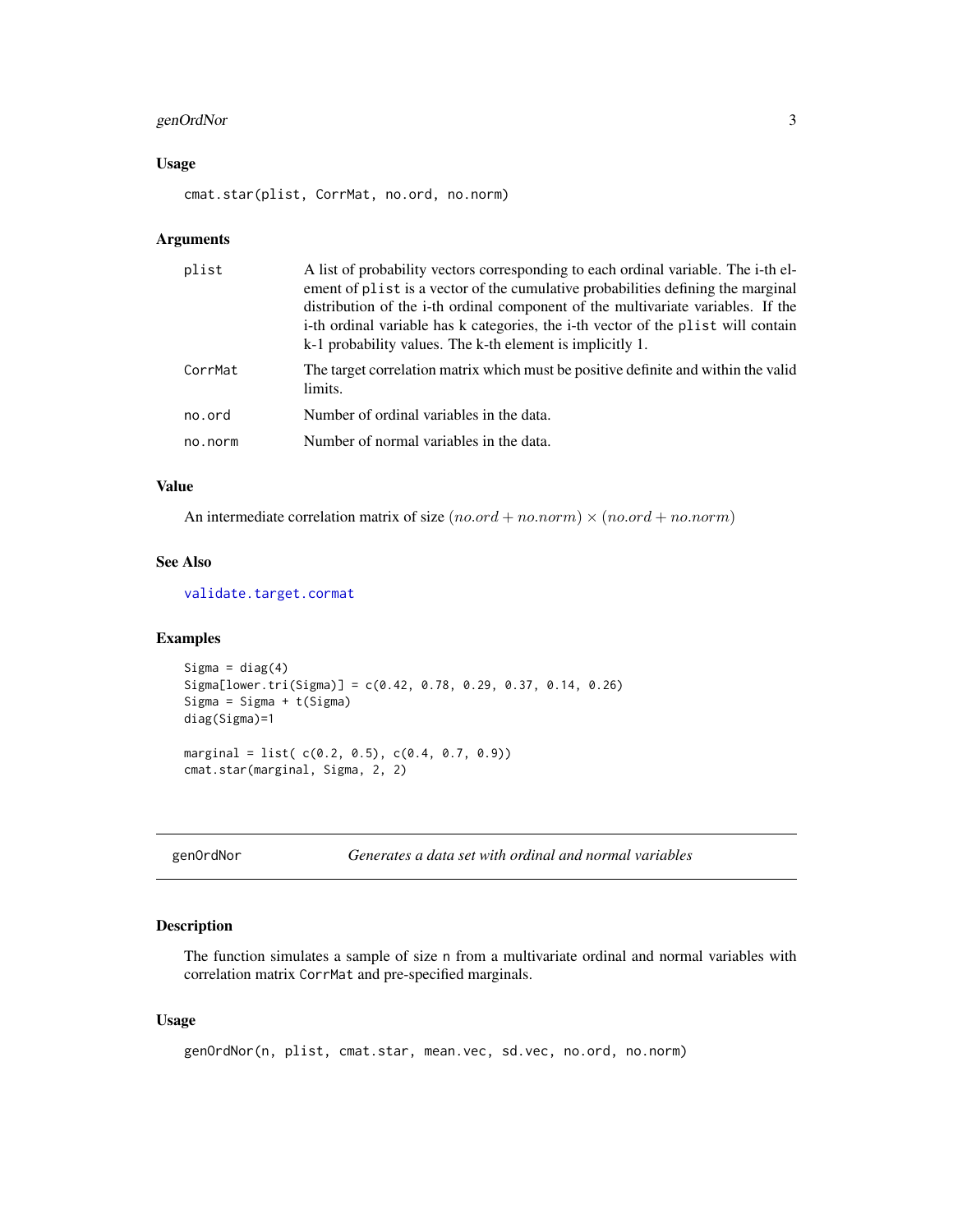## <span id="page-2-0"></span>genOrdNor 3

## Usage

cmat.star(plist, CorrMat, no.ord, no.norm)

## Arguments

| plist   | A list of probability vectors corresponding to each ordinal variable. The i-th el-<br>ement of plist is a vector of the cumulative probabilities defining the marginal<br>distribution of the i-th ordinal component of the multivariate variables. If the<br>i-th ordinal variable has k categories, the i-th vector of the plist will contain<br>k-1 probability values. The k-th element is implicitly 1. |
|---------|--------------------------------------------------------------------------------------------------------------------------------------------------------------------------------------------------------------------------------------------------------------------------------------------------------------------------------------------------------------------------------------------------------------|
| CorrMat | The target correlation matrix which must be positive definite and within the valid<br>limits.                                                                                                                                                                                                                                                                                                                |
| no.ord  | Number of ordinal variables in the data.                                                                                                                                                                                                                                                                                                                                                                     |
| no.norm | Number of normal variables in the data.                                                                                                                                                                                                                                                                                                                                                                      |

## Value

An intermediate correlation matrix of size  $(no.ord + no.norm) \times (no.ord + no.norm)$ 

#### See Also

[validate.target.cormat](#page-9-1)

## Examples

```
Sigma = diag(4)Sigma[lower.tri(Sigma)] = c(0.42, 0.78, 0.29, 0.37, 0.14, 0.26)
Sigma = Sigma + t(Sigma)
diag(Sigma)=1
marginal = list( c(0.2, 0.5), c(0.4, 0.7, 0.9))
cmat.star(marginal, Sigma, 2, 2)
```
<span id="page-2-1"></span>genOrdNor *Generates a data set with ordinal and normal variables*

## Description

The function simulates a sample of size n from a multivariate ordinal and normal variables with correlation matrix CorrMat and pre-specified marginals.

## Usage

```
genOrdNor(n, plist, cmat.star, mean.vec, sd.vec, no.ord, no.norm)
```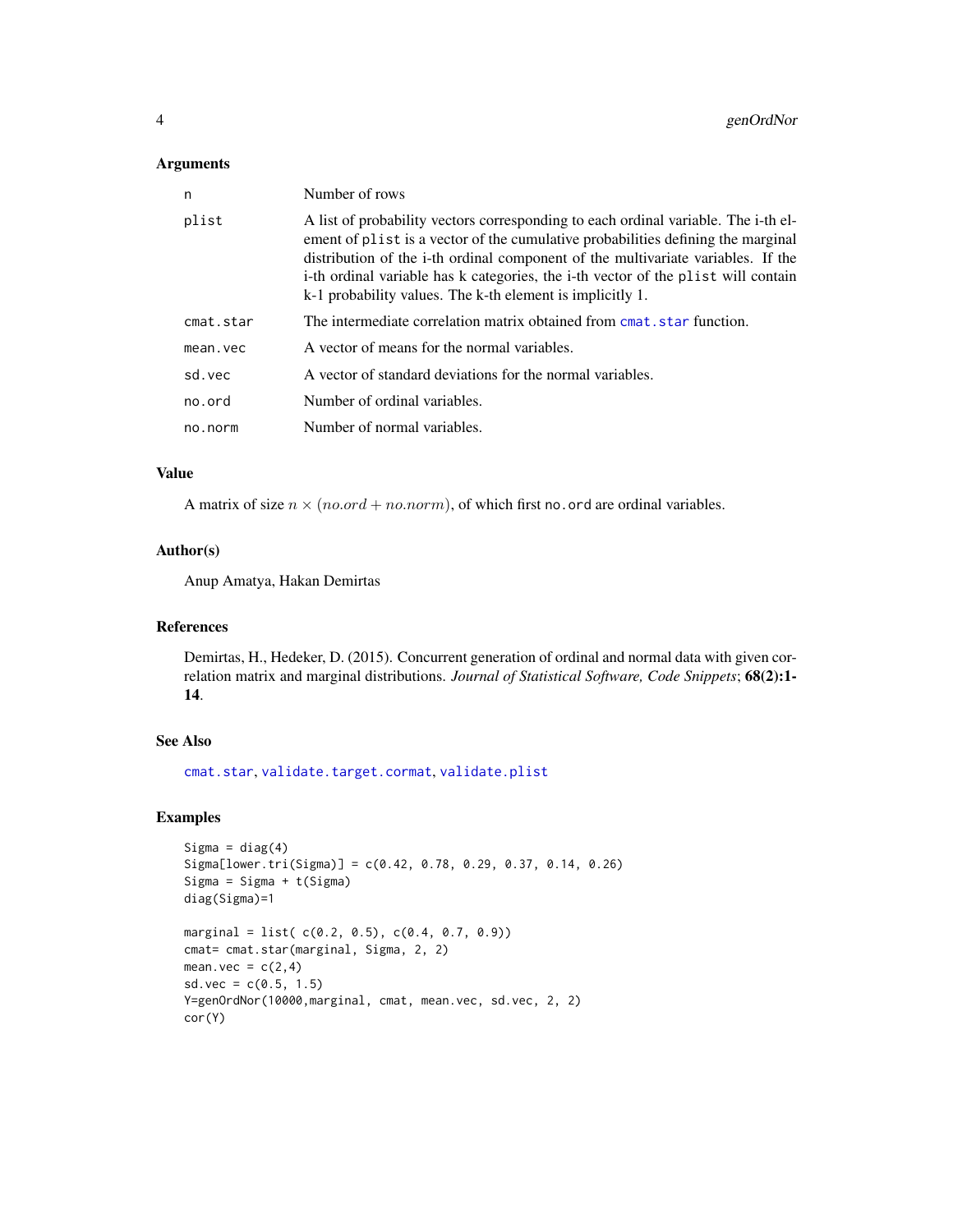#### <span id="page-3-0"></span>Arguments

| n         | Number of rows                                                                                                                                                                                                                                                                                                                                                                                               |
|-----------|--------------------------------------------------------------------------------------------------------------------------------------------------------------------------------------------------------------------------------------------------------------------------------------------------------------------------------------------------------------------------------------------------------------|
| plist     | A list of probability vectors corresponding to each ordinal variable. The i-th el-<br>ement of plist is a vector of the cumulative probabilities defining the marginal<br>distribution of the i-th ordinal component of the multivariate variables. If the<br>i-th ordinal variable has k categories, the i-th vector of the plist will contain<br>k-1 probability values. The k-th element is implicitly 1. |
| cmat.star | The intermediate correlation matrix obtained from cmat, star function.                                                                                                                                                                                                                                                                                                                                       |
| mean.vec  | A vector of means for the normal variables.                                                                                                                                                                                                                                                                                                                                                                  |
| sd.vec    | A vector of standard deviations for the normal variables.                                                                                                                                                                                                                                                                                                                                                    |
| no.ord    | Number of ordinal variables.                                                                                                                                                                                                                                                                                                                                                                                 |
| no.norm   | Number of normal variables.                                                                                                                                                                                                                                                                                                                                                                                  |
|           |                                                                                                                                                                                                                                                                                                                                                                                                              |

## Value

A matrix of size  $n \times (no.ord + no.norm)$ , of which first no. ord are ordinal variables.

#### Author(s)

Anup Amatya, Hakan Demirtas

## References

Demirtas, H., Hedeker, D. (2015). Concurrent generation of ordinal and normal data with given correlation matrix and marginal distributions. *Journal of Statistical Software, Code Snippets*; 68(2):1- 14.

## See Also

[cmat.star](#page-1-1), [validate.target.cormat](#page-9-1), [validate.plist](#page-9-2)

```
Sigma = diag(4)Sigma[lower.tri(Sigma)] = c(0.42, 0.78, 0.29, 0.37, 0.14, 0.26)
Sigma = Sigma + t(Sigma)
diag(Sigma)=1
marginal = list( c(0.2, 0.5), c(0.4, 0.7, 0.9))
cmat= cmat.star(marginal, Sigma, 2, 2)
mean.vec = c(2, 4)sd.vec = c(0.5, 1.5)Y=genOrdNor(10000,marginal, cmat, mean.vec, sd.vec, 2, 2)
cor(Y)
```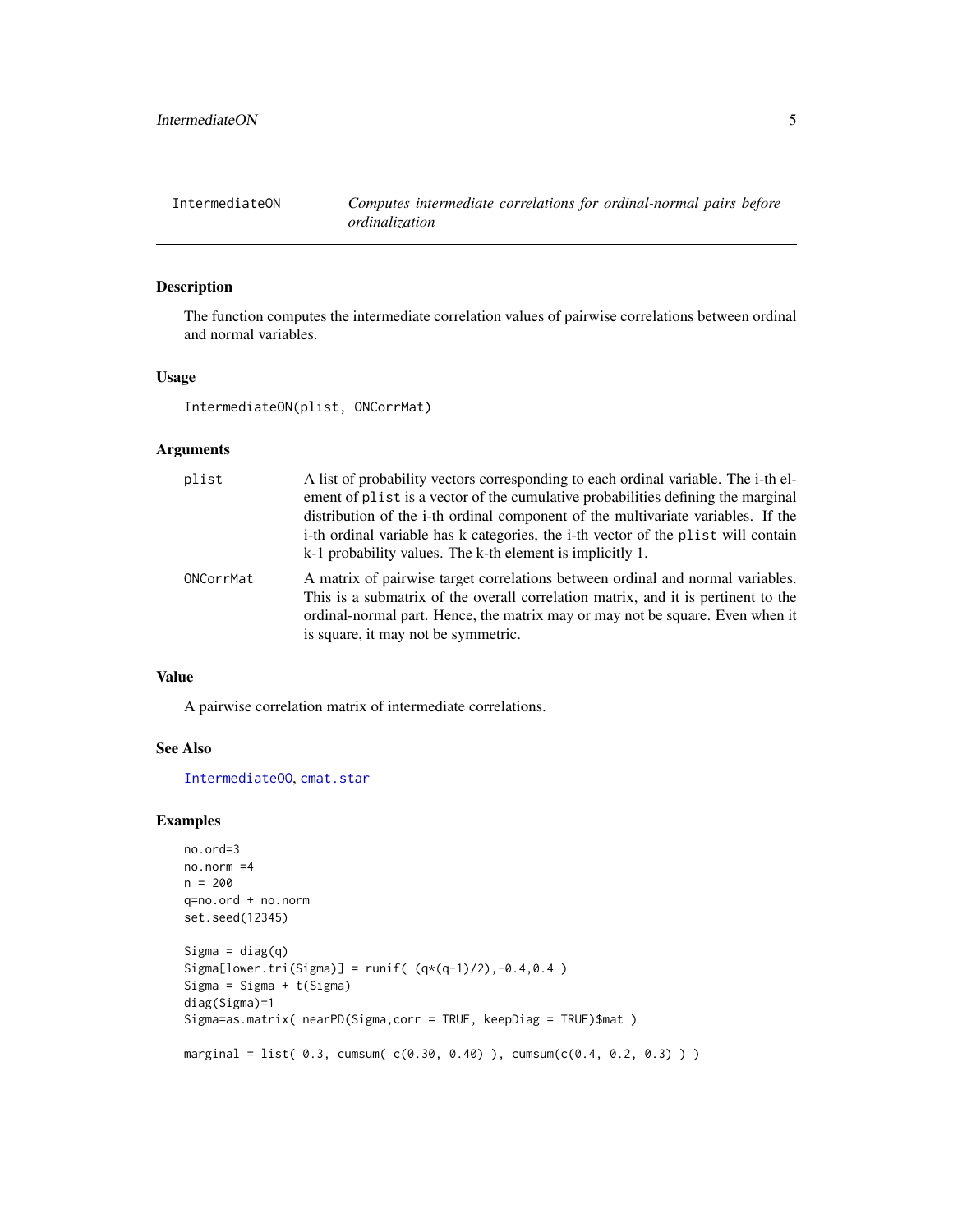<span id="page-4-1"></span><span id="page-4-0"></span>

## Description

The function computes the intermediate correlation values of pairwise correlations between ordinal and normal variables.

## Usage

IntermediateON(plist, ONCorrMat)

## Arguments

| plist     | A list of probability vectors corresponding to each ordinal variable. The i-th el-<br>ement of plist is a vector of the cumulative probabilities defining the marginal<br>distribution of the i-th ordinal component of the multivariate variables. If the<br>i-th ordinal variable has k categories, the i-th vector of the plist will contain<br>k-1 probability values. The k-th element is implicitly 1. |
|-----------|--------------------------------------------------------------------------------------------------------------------------------------------------------------------------------------------------------------------------------------------------------------------------------------------------------------------------------------------------------------------------------------------------------------|
| ONCorrMat | A matrix of pairwise target correlations between ordinal and normal variables.<br>This is a submatrix of the overall correlation matrix, and it is pertinent to the<br>ordinal-normal part. Hence, the matrix may or may not be square. Even when it<br>is square, it may not be symmetric.                                                                                                                  |

## Value

A pairwise correlation matrix of intermediate correlations.

## See Also

[IntermediateOO](#page-5-1), [cmat.star](#page-1-1)

```
no.ord=3
no.norm =4
n = 200
q=no.ord + no.norm
set.seed(12345)
Sigma = diag(q)Sigma[lower.tri(Sigma)] = runif((q*(q-1)/2), -0.4,0.4)
Sigma = Sigma + t(Sigma)
diag(Sigma)=1
Sigma=as.matrix( nearPD(Sigma,corr = TRUE, keepDiag = TRUE)$mat )
marginal = list( 0.3, cumsum( c(0.30, 0.40) ), cumsum(c(0.4, 0.2, 0.3) ))
```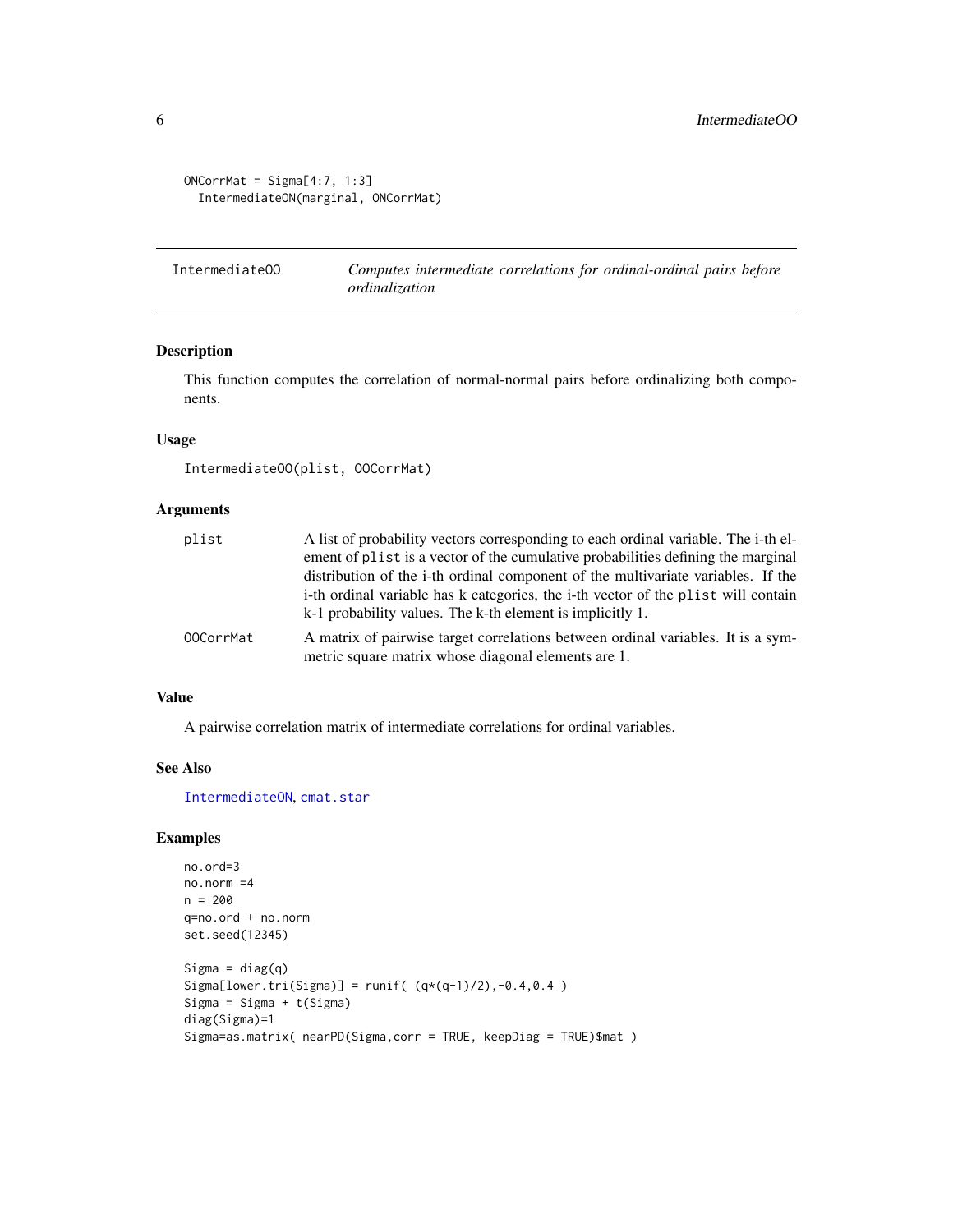```
ONCorrMat = Sigma[4:7, 1:3]IntermediateON(marginal, ONCorrMat)
```
<span id="page-5-1"></span>IntermediateOO *Computes intermediate correlations for ordinal-ordinal pairs before ordinalization*

## Description

This function computes the correlation of normal-normal pairs before ordinalizing both components.

## Usage

```
IntermediateOO(plist, OOCorrMat)
```
#### Arguments

| plist     | A list of probability vectors corresponding to each ordinal variable. The i-th el-<br>ement of plist is a vector of the cumulative probabilities defining the marginal<br>distribution of the i-th ordinal component of the multivariate variables. If the |
|-----------|------------------------------------------------------------------------------------------------------------------------------------------------------------------------------------------------------------------------------------------------------------|
|           | i-th ordinal variable has k categories, the i-th vector of the plist will contain<br>k-1 probability values. The k-th element is implicitly 1.                                                                                                             |
| 00CorrMat | A matrix of pairwise target correlations between ordinal variables. It is a sym-<br>metric square matrix whose diagonal elements are 1.                                                                                                                    |

## Value

A pairwise correlation matrix of intermediate correlations for ordinal variables.

#### See Also

[IntermediateON](#page-4-1), [cmat.star](#page-1-1)

```
no.ord=3
no.norm =4
n = 200
q=no.ord + no.norm
set.seed(12345)
Sigma = diag(q)Sigma[lower.tri(Sigma)] = runif( (q*(q-1)/2), -0.4, 0.4 )Sigma = Sigma + t(Sigma)diag(Sigma)=1
Sigma=as.matrix( nearPD(Sigma,corr = TRUE, keepDiag = TRUE)$mat )
```
<span id="page-5-0"></span>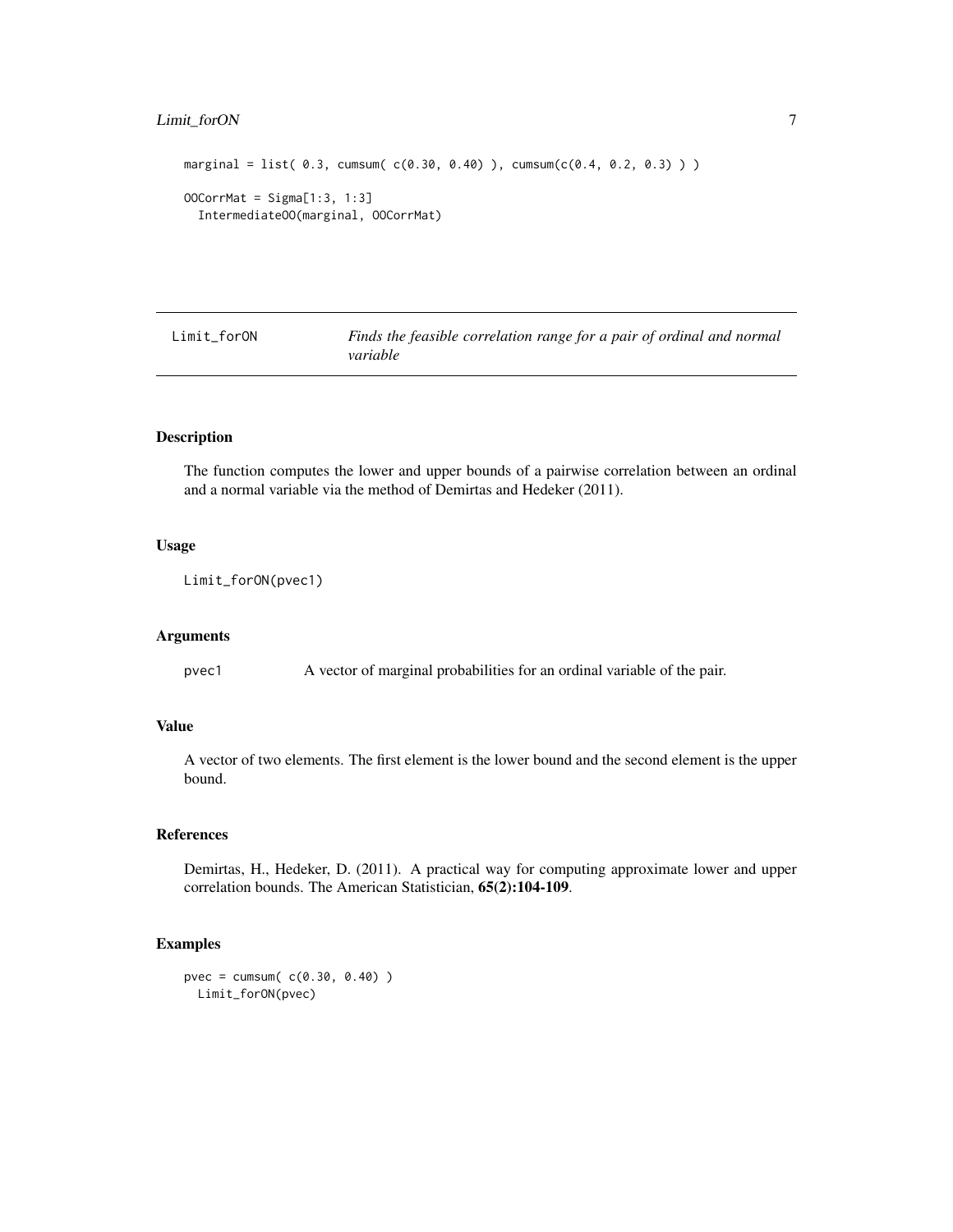## <span id="page-6-0"></span>Limit\_forON 7

```
marginal = list( 0.3, cumsum( c(0.30, 0.40) ), cumsum(c(0.4, 0.2, 0.3) ) )OOCorrMat = Sigma[1:3, 1:3]
  IntermediateOO(marginal, OOCorrMat)
```
Limit\_forON *Finds the feasible correlation range for a pair of ordinal and normal variable*

## Description

The function computes the lower and upper bounds of a pairwise correlation between an ordinal and a normal variable via the method of Demirtas and Hedeker (2011).

#### Usage

Limit\_forON(pvec1)

#### Arguments

pvec1 A vector of marginal probabilities for an ordinal variable of the pair.

## Value

A vector of two elements. The first element is the lower bound and the second element is the upper bound.

## References

Demirtas, H., Hedeker, D. (2011). A practical way for computing approximate lower and upper correlation bounds. The American Statistician, 65(2):104-109.

```
pvec = cumsum( c(0.30, 0.40) )
 Limit_forON(pvec)
```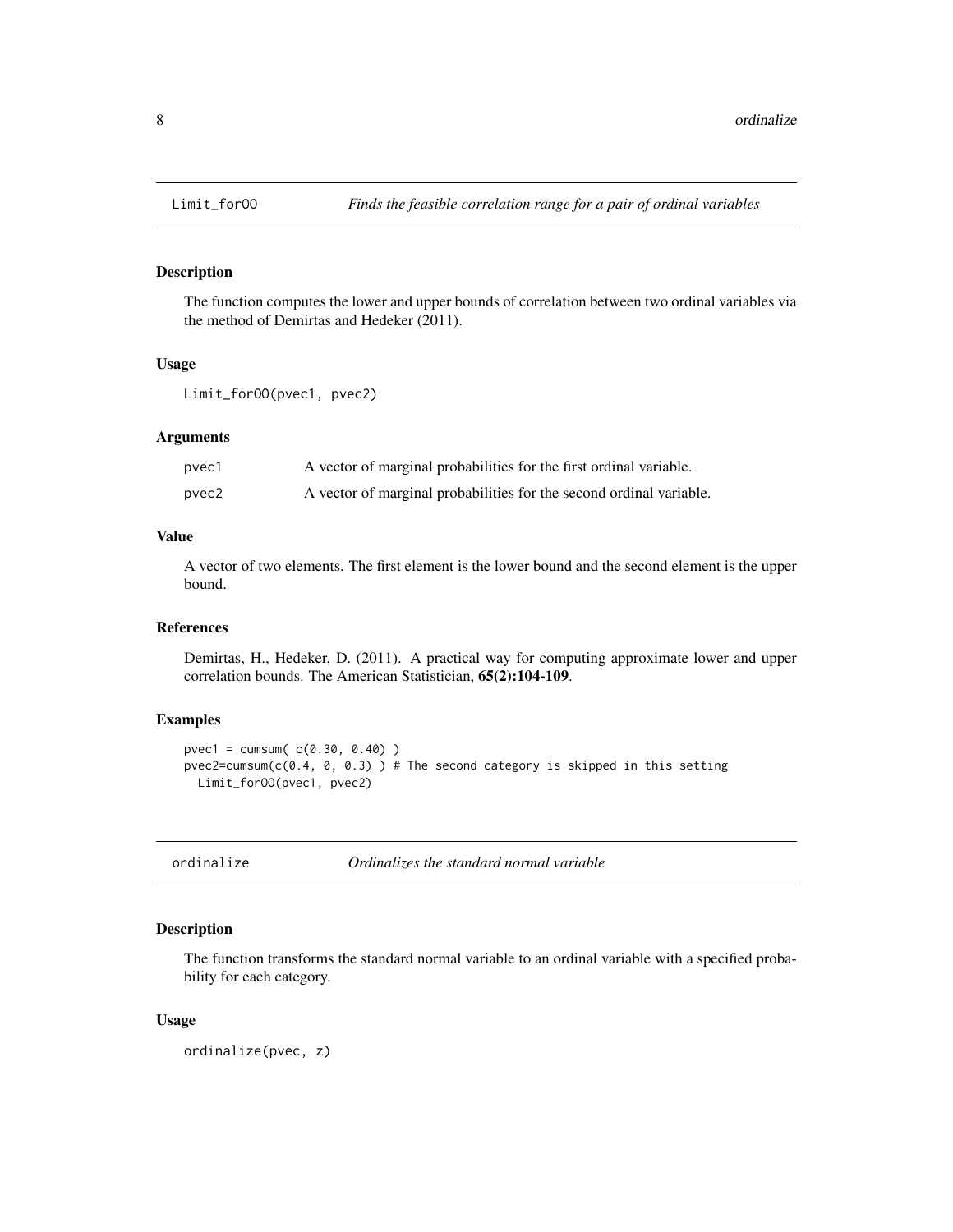## Description

The function computes the lower and upper bounds of correlation between two ordinal variables via the method of Demirtas and Hedeker (2011).

#### Usage

```
Limit_forOO(pvec1, pvec2)
```
## Arguments

| pvec1 | A vector of marginal probabilities for the first ordinal variable.  |
|-------|---------------------------------------------------------------------|
| pvec2 | A vector of marginal probabilities for the second ordinal variable. |

## Value

A vector of two elements. The first element is the lower bound and the second element is the upper bound.

#### References

Demirtas, H., Hedeker, D. (2011). A practical way for computing approximate lower and upper correlation bounds. The American Statistician, 65(2):104-109.

## Examples

```
pvec1 = cumsum( c(0.30, 0.40) )
pvec2=cumsum(c(0.4, 0, 0.3)) # The second category is skipped in this setting
  Limit_forOO(pvec1, pvec2)
```
ordinalize *Ordinalizes the standard normal variable*

#### Description

The function transforms the standard normal variable to an ordinal variable with a specified probability for each category.

#### Usage

ordinalize(pvec, z)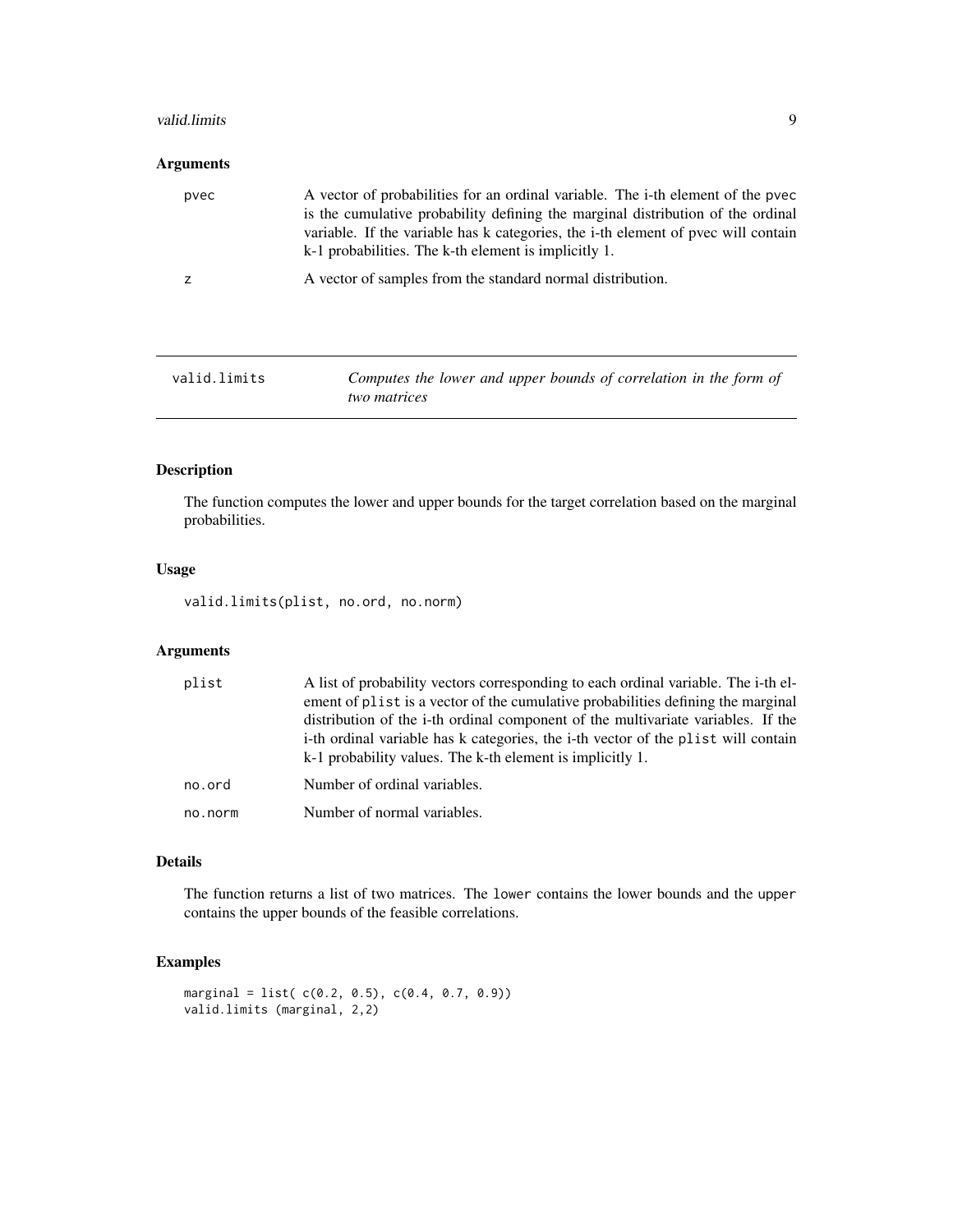#### <span id="page-8-0"></span>valid.limits **9**

## Arguments

| is the cumulative probability defining the marginal distribution of the ordinal<br>variable. If the variable has k categories, the i-th element of pvec will contain<br>k-1 probabilities. The k-th element is implicitly 1. |
|------------------------------------------------------------------------------------------------------------------------------------------------------------------------------------------------------------------------------|
| A vector of samples from the standard normal distribution.                                                                                                                                                                   |
|                                                                                                                                                                                                                              |
|                                                                                                                                                                                                                              |

<span id="page-8-1"></span>

| Valld.llmlts |  |
|--------------|--|
|--------------|--|

valid.limits *Computes the lower and upper bounds of correlation in the form of two matrices*

## Description

The function computes the lower and upper bounds for the target correlation based on the marginal probabilities.

## Usage

valid.limits(plist, no.ord, no.norm)

## Arguments

| plist   | A list of probability vectors corresponding to each ordinal variable. The i-th el-<br>ement of plist is a vector of the cumulative probabilities defining the marginal<br>distribution of the i-th ordinal component of the multivariate variables. If the<br>i-th ordinal variable has k categories, the i-th vector of the plist will contain<br>k-1 probability values. The k-th element is implicitly 1. |
|---------|--------------------------------------------------------------------------------------------------------------------------------------------------------------------------------------------------------------------------------------------------------------------------------------------------------------------------------------------------------------------------------------------------------------|
| no.ord  | Number of ordinal variables.                                                                                                                                                                                                                                                                                                                                                                                 |
| no.norm | Number of normal variables.                                                                                                                                                                                                                                                                                                                                                                                  |

## Details

The function returns a list of two matrices. The lower contains the lower bounds and the upper contains the upper bounds of the feasible correlations.

```
marginal = list( c(0.2, 0.5), c(0.4, 0.7, 0.9))
valid.limits (marginal, 2,2)
```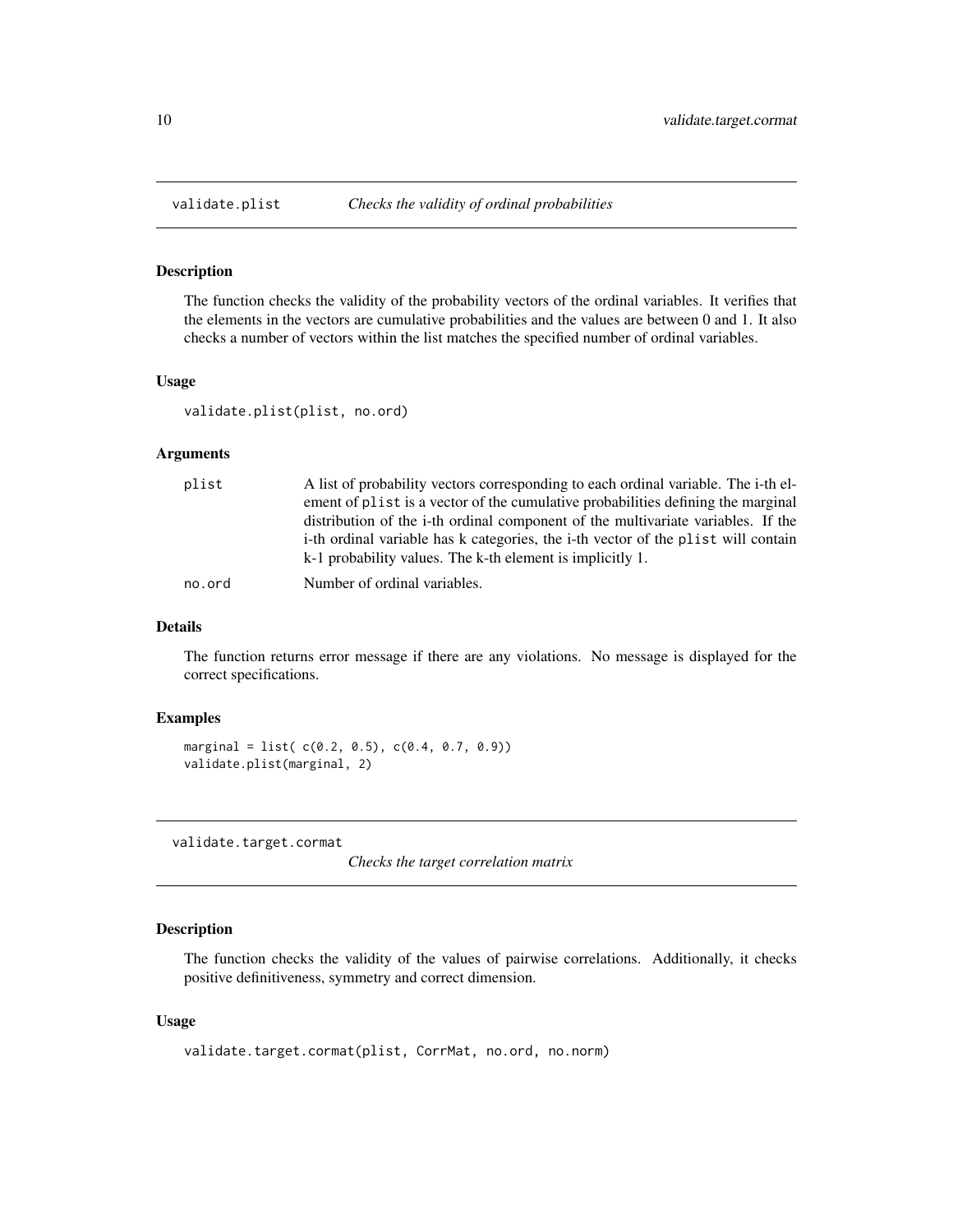<span id="page-9-2"></span><span id="page-9-0"></span>

#### Description

The function checks the validity of the probability vectors of the ordinal variables. It verifies that the elements in the vectors are cumulative probabilities and the values are between 0 and 1. It also checks a number of vectors within the list matches the specified number of ordinal variables.

#### Usage

```
validate.plist(plist, no.ord)
```
## Arguments

| plist  | A list of probability vectors corresponding to each ordinal variable. The i-th el- |
|--------|------------------------------------------------------------------------------------|
|        | ement of plist is a vector of the cumulative probabilities defining the marginal   |
|        | distribution of the i-th ordinal component of the multivariate variables. If the   |
|        | i-th ordinal variable has k categories, the i-th vector of the plist will contain  |
|        | k-1 probability values. The k-th element is implicitly 1.                          |
| no.ord | Number of ordinal variables.                                                       |

## Details

The function returns error message if there are any violations. No message is displayed for the correct specifications.

## Examples

```
marginal = list(c(0.2, 0.5), c(0.4, 0.7, 0.9))
validate.plist(marginal, 2)
```
<span id="page-9-1"></span>validate.target.cormat

*Checks the target correlation matrix*

## Description

The function checks the validity of the values of pairwise correlations. Additionally, it checks positive definitiveness, symmetry and correct dimension.

#### Usage

```
validate.target.cormat(plist, CorrMat, no.ord, no.norm)
```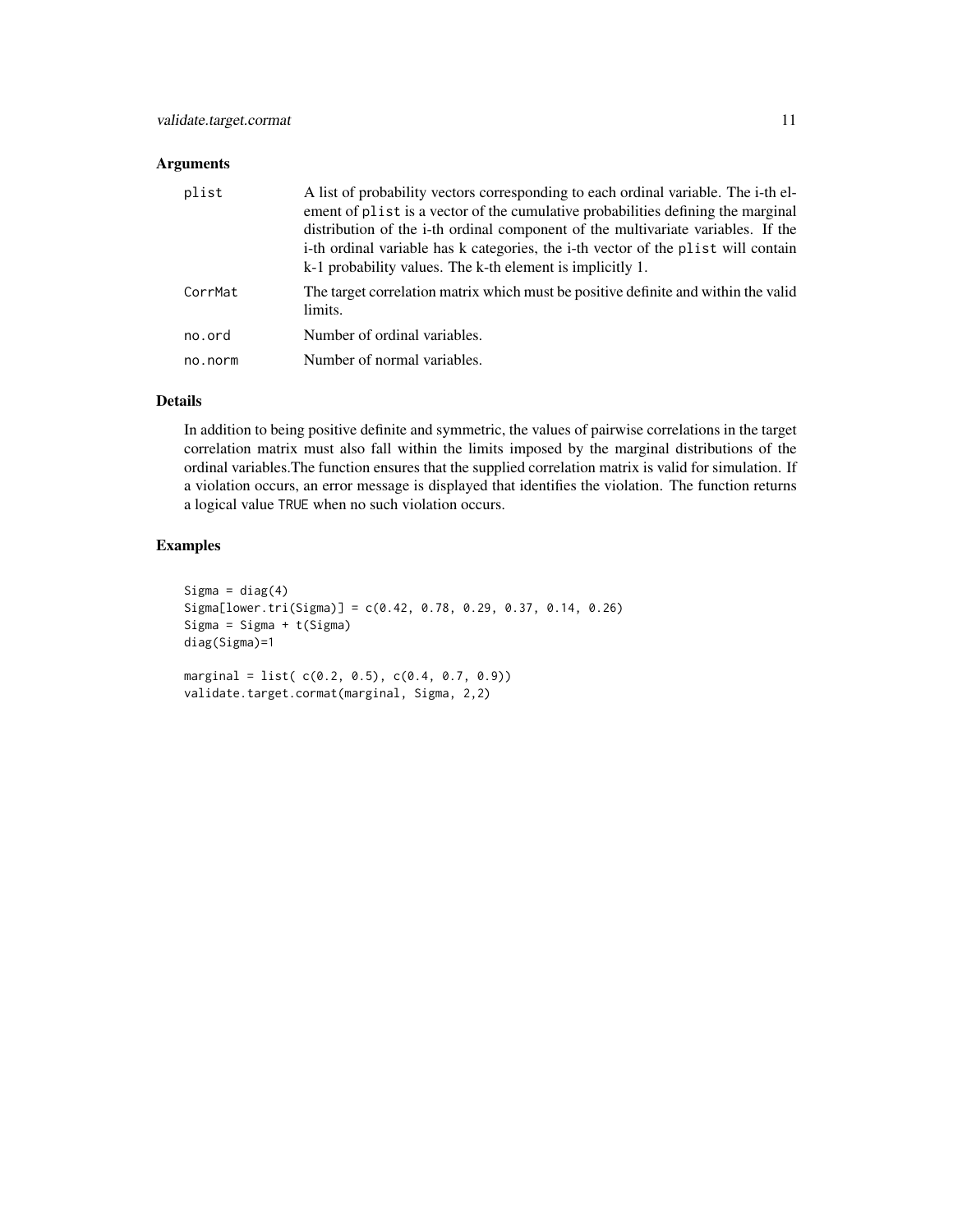## Arguments

| plist   | A list of probability vectors corresponding to each ordinal variable. The i-th el-<br>ement of plist is a vector of the cumulative probabilities defining the marginal<br>distribution of the i-th ordinal component of the multivariate variables. If the<br>i-th ordinal variable has k categories, the i-th vector of the plist will contain<br>k-1 probability values. The k-th element is implicitly 1. |
|---------|--------------------------------------------------------------------------------------------------------------------------------------------------------------------------------------------------------------------------------------------------------------------------------------------------------------------------------------------------------------------------------------------------------------|
| CorrMat | The target correlation matrix which must be positive definite and within the valid<br>limits.                                                                                                                                                                                                                                                                                                                |
| no.ord  | Number of ordinal variables.                                                                                                                                                                                                                                                                                                                                                                                 |
| no.norm | Number of normal variables.                                                                                                                                                                                                                                                                                                                                                                                  |

#### Details

In addition to being positive definite and symmetric, the values of pairwise correlations in the target correlation matrix must also fall within the limits imposed by the marginal distributions of the ordinal variables.The function ensures that the supplied correlation matrix is valid for simulation. If a violation occurs, an error message is displayed that identifies the violation. The function returns a logical value TRUE when no such violation occurs.

```
Sigma = diag(4)Sigma[lower.tri(Sigma)] = c(0.42, 0.78, 0.29, 0.37, 0.14, 0.26)
Sigma = Sigma + t(Sigma)
diag(Sigma)=1
marginal = list(c(0.2, 0.5), c(0.4, 0.7, 0.9))
validate.target.cormat(marginal, Sigma, 2,2)
```